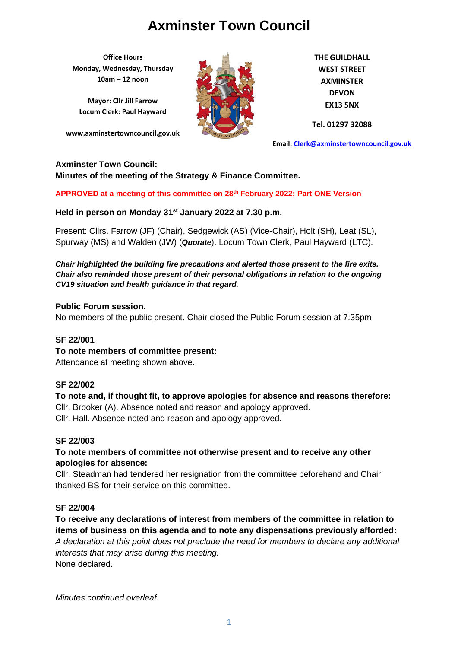**Office Hours Monday, Wednesday, Thursday 10am – 12 noon**

**Mayor: Cllr Jill Farrow Locum Clerk: Paul Hayward**

**www.axminstertowncouncil.gov.uk**



**THE GUILDHALL WEST STREET AXMINSTER DEVON EX13 5NX**

**Tel. 01297 32088**

**Email: [Clerk@axminstertowncouncil.gov.uk](file://///axm-svr-1/company/Templates/Clerk@axminstertowncouncil.gov.uk)**

#### **Axminster Town Council:**

**Minutes of the meeting of the Strategy & Finance Committee.**

**APPROVED at a meeting of this committee on 28th February 2022; Part ONE Version**

**Held in person on Monday 31st January 2022 at 7.30 p.m.**

Present: Cllrs. Farrow (JF) (Chair), Sedgewick (AS) (Vice-Chair), Holt (SH), Leat (SL), Spurway (MS) and Walden (JW) (*Quorate*). Locum Town Clerk, Paul Hayward (LTC).

*Chair highlighted the building fire precautions and alerted those present to the fire exits. Chair also reminded those present of their personal obligations in relation to the ongoing CV19 situation and health guidance in that regard.*

#### **Public Forum session.**

No members of the public present. Chair closed the Public Forum session at 7.35pm

#### **SF 22/001**

**To note members of committee present:**

Attendance at meeting shown above.

#### **SF 22/002**

**To note and, if thought fit, to approve apologies for absence and reasons therefore:** Cllr. Brooker (A). Absence noted and reason and apology approved. Cllr. Hall. Absence noted and reason and apology approved.

#### **SF 22/003**

## **To note members of committee not otherwise present and to receive any other apologies for absence:**

Cllr. Steadman had tendered her resignation from the committee beforehand and Chair thanked BS for their service on this committee.

#### **SF 22/004**

**To receive any declarations of interest from members of the committee in relation to items of business on this agenda and to note any dispensations previously afforded:**  *A declaration at this point does not preclude the need for members to declare any additional interests that may arise during this meeting.* None declared.

*Minutes continued overleaf.*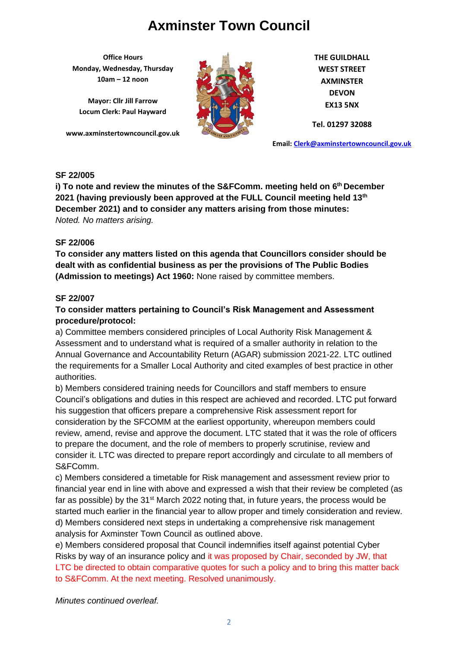**Office Hours Monday, Wednesday, Thursday 10am – 12 noon**

**Mayor: Cllr Jill Farrow Locum Clerk: Paul Hayward**

**www.axminstertowncouncil.gov.uk**



**THE GUILDHALL WEST STREET AXMINSTER DEVON EX13 5NX**

**Tel. 01297 32088**

**Email: [Clerk@axminstertowncouncil.gov.uk](file://///axm-svr-1/company/Templates/Clerk@axminstertowncouncil.gov.uk)**

### **SF 22/005**

**TEL: 01297 32088 December 2021) and to consider any matters arising from those minutes: i) To note and review the minutes of the S&FComm. meeting held on 6 th December 2021 (having previously been approved at the FULL Council meeting held 13th** *Noted. No matters arising.*

### **SF 22/006**

**To consider any matters listed on this agenda that Councillors consider should be dealt with as confidential business as per the provisions of The Public Bodies (Admission to meetings) Act 1960:** None raised by committee members.

### **SF 22/007**

## **To consider matters pertaining to Council's Risk Management and Assessment procedure/protocol:**

a) Committee members considered principles of Local Authority Risk Management & Assessment and to understand what is required of a smaller authority in relation to the Annual Governance and Accountability Return (AGAR) submission 2021-22. LTC outlined the requirements for a Smaller Local Authority and cited examples of best practice in other authorities.

b) Members considered training needs for Councillors and staff members to ensure Council's obligations and duties in this respect are achieved and recorded. LTC put forward his suggestion that officers prepare a comprehensive Risk assessment report for consideration by the SFCOMM at the earliest opportunity, whereupon members could review, amend, revise and approve the document. LTC stated that it was the role of officers to prepare the document, and the role of members to properly scrutinise, review and consider it. LTC was directed to prepare report accordingly and circulate to all members of S&FComm.

c) Members considered a timetable for Risk management and assessment review prior to financial year end in line with above and expressed a wish that their review be completed (as far as possible) by the  $31<sup>st</sup>$  March 2022 noting that, in future years, the process would be started much earlier in the financial year to allow proper and timely consideration and review. d) Members considered next steps in undertaking a comprehensive risk management analysis for Axminster Town Council as outlined above.

e) Members considered proposal that Council indemnifies itself against potential Cyber Risks by way of an insurance policy and it was proposed by Chair, seconded by JW, that LTC be directed to obtain comparative quotes for such a policy and to bring this matter back to S&FComm. At the next meeting. Resolved unanimously.

*Minutes continued overleaf.*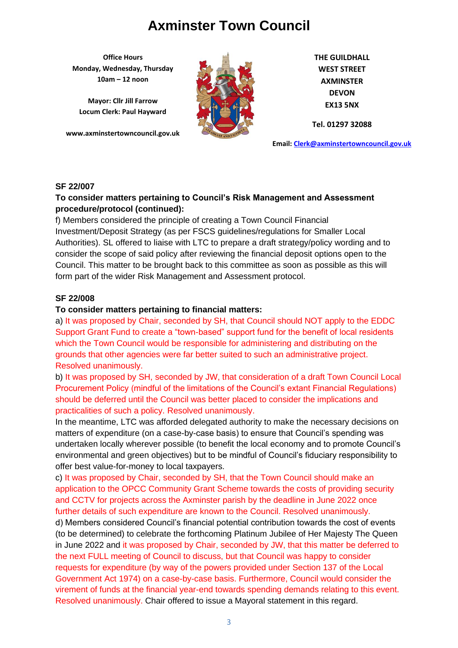**Office Hours Monday, Wednesday, Thursday 10am – 12 noon**

**Mayor: Cllr Jill Farrow Locum Clerk: Paul Hayward**

**www.axminstertowncouncil.gov.uk**



**THE GUILDHALL WEST STREET AXMINSTER DEVON EX13 5NX**

**Tel. 01297 32088**

**Email: [Clerk@axminstertowncouncil.gov.uk](file://///axm-svr-1/company/Templates/Clerk@axminstertowncouncil.gov.uk)**

#### **SF 22/007**

#### **TEL: 01297 32088 To consider matters pertaining to Council's Risk Management and Assessment procedure/protocol (continued):**

f) Members considered the principle of creating a Town Council Financial Investment/Deposit Strategy (as per FSCS guidelines/regulations for Smaller Local Authorities). SL offered to liaise with LTC to prepare a draft strategy/policy wording and to consider the scope of said policy after reviewing the financial deposit options open to the Council. This matter to be brought back to this committee as soon as possible as this will form part of the wider Risk Management and Assessment protocol.

### **SF 22/008**

#### **To consider matters pertaining to financial matters:**

a) It was proposed by Chair, seconded by SH, that Council should NOT apply to the EDDC Support Grant Fund to create a "town-based" support fund for the benefit of local residents which the Town Council would be responsible for administering and distributing on the grounds that other agencies were far better suited to such an administrative project. Resolved unanimously.

b) It was proposed by SH, seconded by JW, that consideration of a draft Town Council Local Procurement Policy (mindful of the limitations of the Council's extant Financial Regulations) should be deferred until the Council was better placed to consider the implications and practicalities of such a policy. Resolved unanimously.

In the meantime, LTC was afforded delegated authority to make the necessary decisions on matters of expenditure (on a case-by-case basis) to ensure that Council's spending was undertaken locally wherever possible (to benefit the local economy and to promote Council's environmental and green objectives) but to be mindful of Council's fiduciary responsibility to offer best value-for-money to local taxpayers.

c) It was proposed by Chair, seconded by SH, that the Town Council should make an application to the OPCC Community Grant Scheme towards the costs of providing security and CCTV for projects across the Axminster parish by the deadline in June 2022 once further details of such expenditure are known to the Council. Resolved unanimously.

d) Members considered Council's financial potential contribution towards the cost of events (to be determined) to celebrate the forthcoming Platinum Jubilee of Her Majesty The Queen in June 2022 and it was proposed by Chair, seconded by JW, that this matter be deferred to the next FULL meeting of Council to discuss, but that Council was happy to consider requests for expenditure (by way of the powers provided under Section 137 of the Local Government Act 1974) on a case-by-case basis. Furthermore, Council would consider the virement of funds at the financial year-end towards spending demands relating to this event. Resolved unanimously. Chair offered to issue a Mayoral statement in this regard.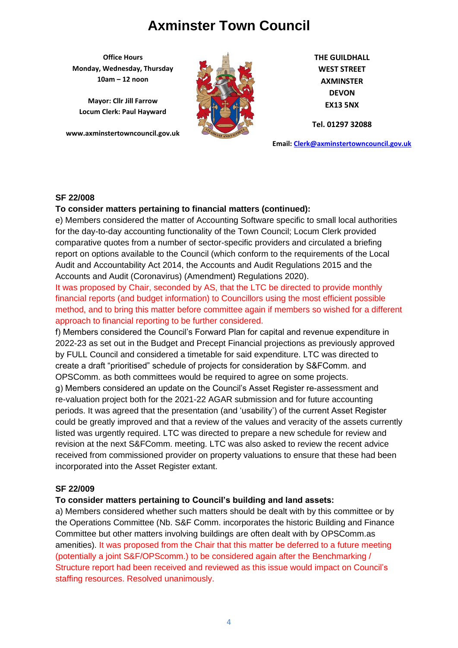**Office Hours Monday, Wednesday, Thursday 10am – 12 noon**

**Mayor: Cllr Jill Farrow Locum Clerk: Paul Hayward**

**www.axminstertowncouncil.gov.uk**



**THE GUILDHALL WEST STREET AXMINSTER DEVON EX13 5NX**

**Tel. 01297 32088**

**Email: [Clerk@axminstertowncouncil.gov.uk](file://///axm-svr-1/company/Templates/Clerk@axminstertowncouncil.gov.uk)**

#### **SF 22/008**

#### **To consider matters pertaining to financial matters (continued):**

**TEL: 01297 32088** e) Members considered the matter of Accounting Software specific to small local authorities for the day-to-day accounting functionality of the Town Council; Locum Clerk provided comparative quotes from a number of sector-specific providers and circulated a briefing report on options available to the Council (which conform to the requirements of the Local Audit and Accountability Act 2014, the Accounts and Audit Regulations 2015 and the Accounts and Audit (Coronavirus) (Amendment) Regulations 2020).

It was proposed by Chair, seconded by AS, that the LTC be directed to provide monthly financial reports (and budget information) to Councillors using the most efficient possible method, and to bring this matter before committee again if members so wished for a different approach to financial reporting to be further considered.

f) Members considered the Council's Forward Plan for capital and revenue expenditure in 2022-23 as set out in the Budget and Precept Financial projections as previously approved by FULL Council and considered a timetable for said expenditure. LTC was directed to create a draft "prioritised" schedule of projects for consideration by S&FComm. and OPSComm. as both committees would be required to agree on some projects.

g) Members considered an update on the Council's Asset Register re-assessment and re-valuation project both for the 2021-22 AGAR submission and for future accounting periods. It was agreed that the presentation (and 'usability') of the current Asset Register could be greatly improved and that a review of the values and veracity of the assets currently listed was urgently required. LTC was directed to prepare a new schedule for review and revision at the next S&FComm. meeting. LTC was also asked to review the recent advice received from commissioned provider on property valuations to ensure that these had been incorporated into the Asset Register extant.

#### **SF 22/009**

#### **To consider matters pertaining to Council's building and land assets:**

a) Members considered whether such matters should be dealt with by this committee or by the Operations Committee (Nb. S&F Comm. incorporates the historic Building and Finance Committee but other matters involving buildings are often dealt with by OPSComm.as amenities). It was proposed from the Chair that this matter be deferred to a future meeting (potentially a joint S&F/OPScomm.) to be considered again after the Benchmarking / Structure report had been received and reviewed as this issue would impact on Council's staffing resources. Resolved unanimously.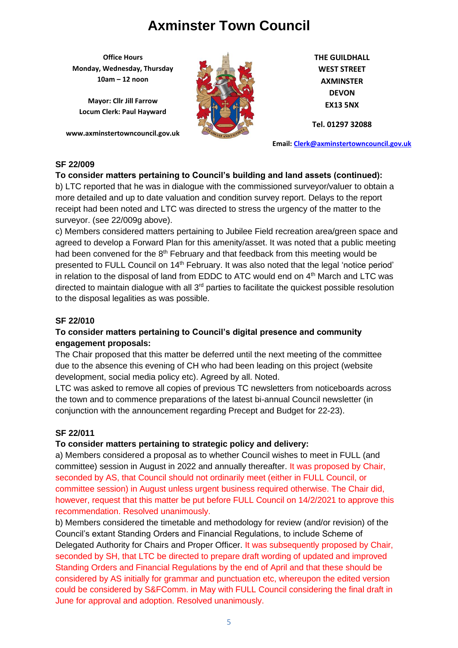**Office Hours Monday, Wednesday, Thursday 10am – 12 noon**

**Mayor: Cllr Jill Farrow Locum Clerk: Paul Hayward**

**www.axminstertowncouncil.gov.uk**



**THE GUILDHALL WEST STREET AXMINSTER DEVON EX13 5NX**

**Tel. 01297 32088**

**Email: [Clerk@axminstertowncouncil.gov.uk](file://///axm-svr-1/company/Templates/Clerk@axminstertowncouncil.gov.uk)**

## **SF 22/009**

## **To consider matters pertaining to Council's building and land assets (continued):**

receipt had been noted and LTC was directed to stress the urgency of the matter to the b) LTC reported that he was in dialogue with the commissioned surveyor/valuer to obtain a more detailed and up to date valuation and condition survey report. Delays to the report surveyor. (see 22/009g above).

c) Members considered matters pertaining to Jubilee Field recreation area/green space and agreed to develop a Forward Plan for this amenity/asset. It was noted that a public meeting had been convened for the  $8<sup>th</sup>$  February and that feedback from this meeting would be presented to FULL Council on 14<sup>th</sup> February. It was also noted that the legal 'notice period' in relation to the disposal of land from EDDC to ATC would end on 4<sup>th</sup> March and LTC was directed to maintain dialogue with all 3<sup>rd</sup> parties to facilitate the quickest possible resolution to the disposal legalities as was possible.

### **SF 22/010**

## **To consider matters pertaining to Council's digital presence and community engagement proposals:**

The Chair proposed that this matter be deferred until the next meeting of the committee due to the absence this evening of CH who had been leading on this project (website development, social media policy etc). Agreed by all. Noted.

LTC was asked to remove all copies of previous TC newsletters from noticeboards across the town and to commence preparations of the latest bi-annual Council newsletter (in conjunction with the announcement regarding Precept and Budget for 22-23).

## **SF 22/011**

## **To consider matters pertaining to strategic policy and delivery:**

a) Members considered a proposal as to whether Council wishes to meet in FULL (and committee) session in August in 2022 and annually thereafter. It was proposed by Chair, seconded by AS, that Council should not ordinarily meet (either in FULL Council, or committee session) in August unless urgent business required otherwise. The Chair did, however, request that this matter be put before FULL Council on 14/2/2021 to approve this recommendation. Resolved unanimously.

b) Members considered the timetable and methodology for review (and/or revision) of the Council's extant Standing Orders and Financial Regulations, to include Scheme of Delegated Authority for Chairs and Proper Officer. It was subsequently proposed by Chair, seconded by SH, that LTC be directed to prepare draft wording of updated and improved Standing Orders and Financial Regulations by the end of April and that these should be considered by AS initially for grammar and punctuation etc, whereupon the edited version could be considered by S&FComm. in May with FULL Council considering the final draft in June for approval and adoption. Resolved unanimously.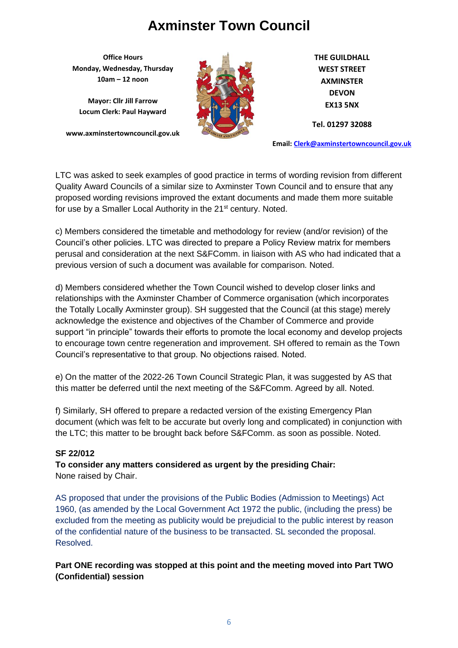**Office Hours Monday, Wednesday, Thursday 10am – 12 noon**

**Mayor: Cllr Jill Farrow Locum Clerk: Paul Hayward**

**www.axminstertowncouncil.gov.uk**



**THE GUILDHALL WEST STREET AXMINSTER DEVON EX13 5NX**

**Tel. 01297 32088**

**Email: [Clerk@axminstertowncouncil.gov.uk](file://///axm-svr-1/company/Templates/Clerk@axminstertowncouncil.gov.uk)**

LTC was asked to seek examples of good practice in terms of wording revision from different Quality Award Councils of a similar size to Axminster Town Council and to ensure that any proposed wording revisions improved the extant documents and made them more suitable for use by a Smaller Local Authority in the 21<sup>st</sup> century. Noted.

c) Members considered the timetable and methodology for review (and/or revision) of the Council's other policies. LTC was directed to prepare a Policy Review matrix for members perusal and consideration at the next S&FComm. in liaison with AS who had indicated that a previous version of such a document was available for comparison. Noted.

d) Members considered whether the Town Council wished to develop closer links and relationships with the Axminster Chamber of Commerce organisation (which incorporates the Totally Locally Axminster group). SH suggested that the Council (at this stage) merely acknowledge the existence and objectives of the Chamber of Commerce and provide support "in principle" towards their efforts to promote the local economy and develop projects to encourage town centre regeneration and improvement. SH offered to remain as the Town Council's representative to that group. No objections raised. Noted.

e) On the matter of the 2022-26 Town Council Strategic Plan, it was suggested by AS that this matter be deferred until the next meeting of the S&FComm. Agreed by all. Noted.

f) Similarly, SH offered to prepare a redacted version of the existing Emergency Plan document (which was felt to be accurate but overly long and complicated) in conjunction with the LTC; this matter to be brought back before S&FComm. as soon as possible. Noted.

## **SF 22/012**

**To consider any matters considered as urgent by the presiding Chair:** None raised by Chair.

AS proposed that under the provisions of the Public Bodies (Admission to Meetings) Act 1960, (as amended by the Local Government Act 1972 the public, (including the press) be excluded from the meeting as publicity would be prejudicial to the public interest by reason of the confidential nature of the business to be transacted. SL seconded the proposal. Resolved.

**Part ONE recording was stopped at this point and the meeting moved into Part TWO (Confidential) session**